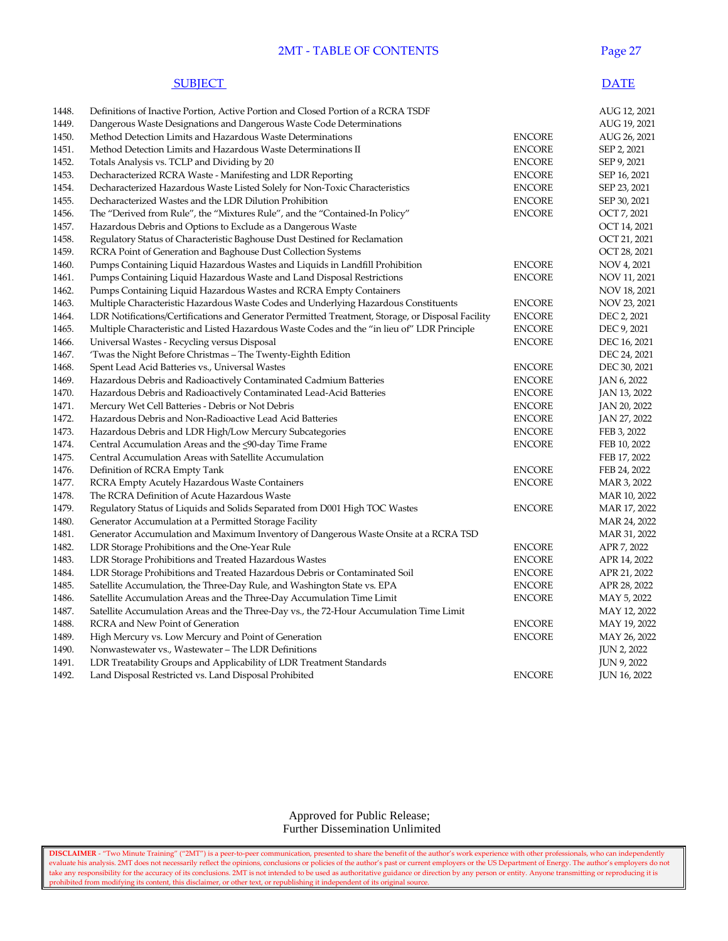#### **2MT - TABLE OF CONTENTS** Page 27

#### **SUBJECT** DATE

| 1448. | Definitions of Inactive Portion, Active Portion and Closed Portion of a RCRA TSDF                 |               | AUG 12, 2021        |
|-------|---------------------------------------------------------------------------------------------------|---------------|---------------------|
| 1449. | Dangerous Waste Designations and Dangerous Waste Code Determinations                              |               | AUG 19, 2021        |
| 1450. | Method Detection Limits and Hazardous Waste Determinations                                        | <b>ENCORE</b> | AUG 26, 2021        |
| 1451. | Method Detection Limits and Hazardous Waste Determinations II                                     | <b>ENCORE</b> | SEP 2, 2021         |
| 1452. | Totals Analysis vs. TCLP and Dividing by 20                                                       | <b>ENCORE</b> | SEP 9, 2021         |
| 1453. | Decharacterized RCRA Waste - Manifesting and LDR Reporting                                        | <b>ENCORE</b> | SEP 16, 2021        |
| 1454. | Decharacterized Hazardous Waste Listed Solely for Non-Toxic Characteristics                       | <b>ENCORE</b> | SEP 23, 2021        |
| 1455. | Decharacterized Wastes and the LDR Dilution Prohibition                                           | <b>ENCORE</b> | SEP 30, 2021        |
| 1456. | The "Derived from Rule", the "Mixtures Rule", and the "Contained-In Policy"                       | <b>ENCORE</b> | OCT 7, 2021         |
| 1457. | Hazardous Debris and Options to Exclude as a Dangerous Waste                                      |               | OCT 14, 2021        |
| 1458. | Regulatory Status of Characteristic Baghouse Dust Destined for Reclamation                        |               | OCT 21, 2021        |
| 1459. | RCRA Point of Generation and Baghouse Dust Collection Systems                                     |               | OCT 28, 2021        |
| 1460. | Pumps Containing Liquid Hazardous Wastes and Liquids in Landfill Prohibition                      | <b>ENCORE</b> | NOV 4, 2021         |
| 1461. | Pumps Containing Liquid Hazardous Waste and Land Disposal Restrictions                            | <b>ENCORE</b> | NOV 11, 2021        |
| 1462. | Pumps Containing Liquid Hazardous Wastes and RCRA Empty Containers                                |               | NOV 18, 2021        |
| 1463. | Multiple Characteristic Hazardous Waste Codes and Underlying Hazardous Constituents               | <b>ENCORE</b> | NOV 23, 2021        |
| 1464. | LDR Notifications/Certifications and Generator Permitted Treatment, Storage, or Disposal Facility | <b>ENCORE</b> | DEC 2, 2021         |
| 1465. | Multiple Characteristic and Listed Hazardous Waste Codes and the "in lieu of" LDR Principle       | <b>ENCORE</b> | DEC 9, 2021         |
| 1466. | Universal Wastes - Recycling versus Disposal                                                      | <b>ENCORE</b> | DEC 16, 2021        |
| 1467. | 'Twas the Night Before Christmas – The Twenty-Eighth Edition                                      |               | DEC 24, 2021        |
| 1468. | Spent Lead Acid Batteries vs., Universal Wastes                                                   | <b>ENCORE</b> | DEC 30, 2021        |
| 1469. | Hazardous Debris and Radioactively Contaminated Cadmium Batteries                                 | <b>ENCORE</b> | JAN 6, 2022         |
| 1470. | Hazardous Debris and Radioactively Contaminated Lead-Acid Batteries                               | <b>ENCORE</b> | JAN 13, 2022        |
| 1471. | Mercury Wet Cell Batteries - Debris or Not Debris                                                 | <b>ENCORE</b> | JAN 20, 2022        |
| 1472. | Hazardous Debris and Non-Radioactive Lead Acid Batteries                                          | <b>ENCORE</b> | JAN 27, 2022        |
| 1473. | Hazardous Debris and LDR High/Low Mercury Subcategories                                           | <b>ENCORE</b> | FEB 3, 2022         |
| 1474. | Central Accumulation Areas and the <90-day Time Frame                                             | <b>ENCORE</b> | FEB 10, 2022        |
| 1475. | Central Accumulation Areas with Satellite Accumulation                                            |               | FEB 17, 2022        |
| 1476. | Definition of RCRA Empty Tank                                                                     | <b>ENCORE</b> | FEB 24, 2022        |
| 1477. | RCRA Empty Acutely Hazardous Waste Containers                                                     | <b>ENCORE</b> | MAR 3, 2022         |
| 1478. | The RCRA Definition of Acute Hazardous Waste                                                      |               | MAR 10, 2022        |
| 1479. | Regulatory Status of Liquids and Solids Separated from D001 High TOC Wastes                       | <b>ENCORE</b> | MAR 17, 2022        |
| 1480. | Generator Accumulation at a Permitted Storage Facility                                            |               | MAR 24, 2022        |
| 1481. | Generator Accumulation and Maximum Inventory of Dangerous Waste Onsite at a RCRA TSD              |               | MAR 31, 2022        |
| 1482. | LDR Storage Prohibitions and the One-Year Rule                                                    | <b>ENCORE</b> | APR 7, 2022         |
| 1483. | LDR Storage Prohibitions and Treated Hazardous Wastes                                             | <b>ENCORE</b> | APR 14, 2022        |
| 1484. | LDR Storage Prohibitions and Treated Hazardous Debris or Contaminated Soil                        | <b>ENCORE</b> | APR 21, 2022        |
| 1485. | Satellite Accumulation, the Three-Day Rule, and Washington State vs. EPA                          | <b>ENCORE</b> | APR 28, 2022        |
| 1486. | Satellite Accumulation Areas and the Three-Day Accumulation Time Limit                            | <b>ENCORE</b> | MAY 5, 2022         |
| 1487. | Satellite Accumulation Areas and the Three-Day vs., the 72-Hour Accumulation Time Limit           |               | MAY 12, 2022        |
| 1488. | RCRA and New Point of Generation                                                                  | <b>ENCORE</b> | MAY 19, 2022        |
| 1489. | High Mercury vs. Low Mercury and Point of Generation                                              | <b>ENCORE</b> | MAY 26, 2022        |
| 1490. | Nonwastewater vs., Wastewater – The LDR Definitions                                               |               | <b>JUN 2, 2022</b>  |
| 1491. | LDR Treatability Groups and Applicability of LDR Treatment Standards                              |               | <b>JUN 9, 2022</b>  |
| 1492. | Land Disposal Restricted vs. Land Disposal Prohibited                                             | <b>ENCORE</b> | <b>JUN 16, 2022</b> |
|       |                                                                                                   |               |                     |

#### Approved for Public Release; Further Dissemination Unlimited

**DISCLAIMER** - "Two Minute Training" ("2MT") is a peer-to-peer communication, presented to share the benefit of the author's work experience with other professionals, who can independently evaluate his analysis. 2MT does not necessarily reflect the opinions, conclusions or policies of the author's past or current employers or the US Department of Energy. The author's employers do not take any responsibility for the accuracy of its conclusions. 2MT is not intended to be used as authoritative guidance or direction by any person or entity. Anyone transmitting or reproducing it is prohibited from modifying its content, this disclaimer, or other text, or republishing it independent of its original source.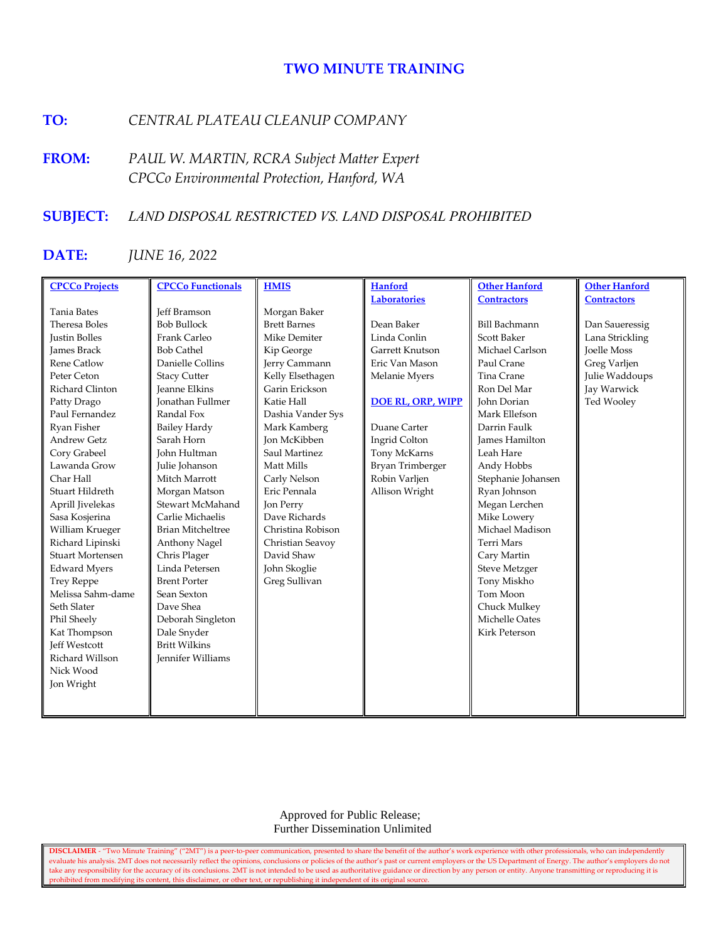# **TWO MINUTE TRAINING**

# **TO:** *CENTRAL PLATEAU CLEANUP COMPANY*

**FROM:** *PAUL W. MARTIN, RCRA Subject Matter Expert CPCCo Environmental Protection, Hanford, WA*

# **SUBJECT:** *LAND DISPOSAL RESTRICTED VS. LAND DISPOSAL PROHIBITED*

# **DATE:** *JUNE 16, 2022*

| <b>CPCCo Projects</b>   | <b>CPCCo Functionals</b> | <b>HMIS</b>         | <b>Hanford</b>           | <b>Other Hanford</b>  | <b>Other Hanford</b> |
|-------------------------|--------------------------|---------------------|--------------------------|-----------------------|----------------------|
|                         |                          |                     | <b>Laboratories</b>      | <b>Contractors</b>    | <b>Contractors</b>   |
| <b>Tania Bates</b>      | <b>Jeff Bramson</b>      | Morgan Baker        |                          |                       |                      |
| Theresa Boles           | <b>Bob Bullock</b>       | <b>Brett Barnes</b> | Dean Baker               | <b>Bill Bachmann</b>  | Dan Saueressig       |
| <b>Justin Bolles</b>    | Frank Carleo             | Mike Demiter        | Linda Conlin             | <b>Scott Baker</b>    | Lana Strickling      |
| <b>James Brack</b>      | <b>Bob Cathel</b>        | Kip George          | Garrett Knutson          | Michael Carlson       | <b>Joelle Moss</b>   |
| <b>Rene Catlow</b>      | Danielle Collins         | Jerry Cammann       | Eric Van Mason           | Paul Crane            | Greg Varljen         |
| Peter Ceton             | <b>Stacy Cutter</b>      | Kelly Elsethagen    | Melanie Myers            | Tina Crane            | Julie Waddoups       |
| Richard Clinton         | <b>Jeanne Elkins</b>     | Garin Erickson      |                          | Ron Del Mar           | Jay Warwick          |
| Patty Drago             | <b>Jonathan Fullmer</b>  | Katie Hall          | <b>DOE RL, ORP, WIPP</b> | John Dorian           | Ted Wooley           |
| Paul Fernandez          | Randal Fox               | Dashia Vander Sys   |                          | Mark Ellefson         |                      |
| Ryan Fisher             | <b>Bailey Hardy</b>      | Mark Kamberg        | Duane Carter             | Darrin Faulk          |                      |
| <b>Andrew Getz</b>      | Sarah Horn               | <b>Jon McKibben</b> | Ingrid Colton            | <b>James Hamilton</b> |                      |
| Cory Grabeel            | John Hultman             | Saul Martinez       | Tony McKarns             | Leah Hare             |                      |
| Lawanda Grow            | Julie Johanson           | Matt Mills          | Bryan Trimberger         | Andy Hobbs            |                      |
| Char Hall               | Mitch Marrott            | Carly Nelson        | Robin Varljen            | Stephanie Johansen    |                      |
| Stuart Hildreth         | Morgan Matson            | Eric Pennala        | Allison Wright           | Ryan Johnson          |                      |
| Aprill Jivelekas        | Stewart McMahand         | Jon Perry           |                          | Megan Lerchen         |                      |
| Sasa Kosjerina          | Carlie Michaelis         | Dave Richards       |                          | Mike Lowery           |                      |
| William Krueger         | <b>Brian Mitcheltree</b> | Christina Robison   |                          | Michael Madison       |                      |
| Richard Lipinski        | Anthony Nagel            | Christian Seavoy    |                          | Terri Mars            |                      |
| <b>Stuart Mortensen</b> | Chris Plager             | David Shaw          |                          | Cary Martin           |                      |
| <b>Edward Myers</b>     | Linda Petersen           | John Skoglie        |                          | <b>Steve Metzger</b>  |                      |
| <b>Trey Reppe</b>       | <b>Brent Porter</b>      | Greg Sullivan       |                          | Tony Miskho           |                      |
| Melissa Sahm-dame       | Sean Sexton              |                     |                          | Tom Moon              |                      |
| Seth Slater             | Dave Shea                |                     |                          | Chuck Mulkey          |                      |
| Phil Sheely             | Deborah Singleton        |                     |                          | Michelle Oates        |                      |
| Kat Thompson            | Dale Snyder              |                     |                          | Kirk Peterson         |                      |
| <b>Jeff Westcott</b>    | <b>Britt Wilkins</b>     |                     |                          |                       |                      |
| Richard Willson         | <b>Iennifer Williams</b> |                     |                          |                       |                      |
| Nick Wood               |                          |                     |                          |                       |                      |
| Jon Wright              |                          |                     |                          |                       |                      |
|                         |                          |                     |                          |                       |                      |
|                         |                          |                     |                          |                       |                      |

 Approved for Public Release; Further Dissemination Unlimited

**DISCLAIMER** - "Two Minute Training" ("2MT") is a peer-to-peer communication, presented to share the benefit of the author's work experience with other professionals, who can independently evaluate his analysis. 2MT does not necessarily reflect the opinions, conclusions or policies of the author's past or current employers or the US Department of Energy. The author's employers do not take any responsibility for the accuracy of its conclusions. 2MT is not intended to be used as authoritative guidance or direction by any person or entity. Anyone transmitting or reproducing it is prohibited from modifying its content, this disclaimer, or other text, or republishing it independent of its original source.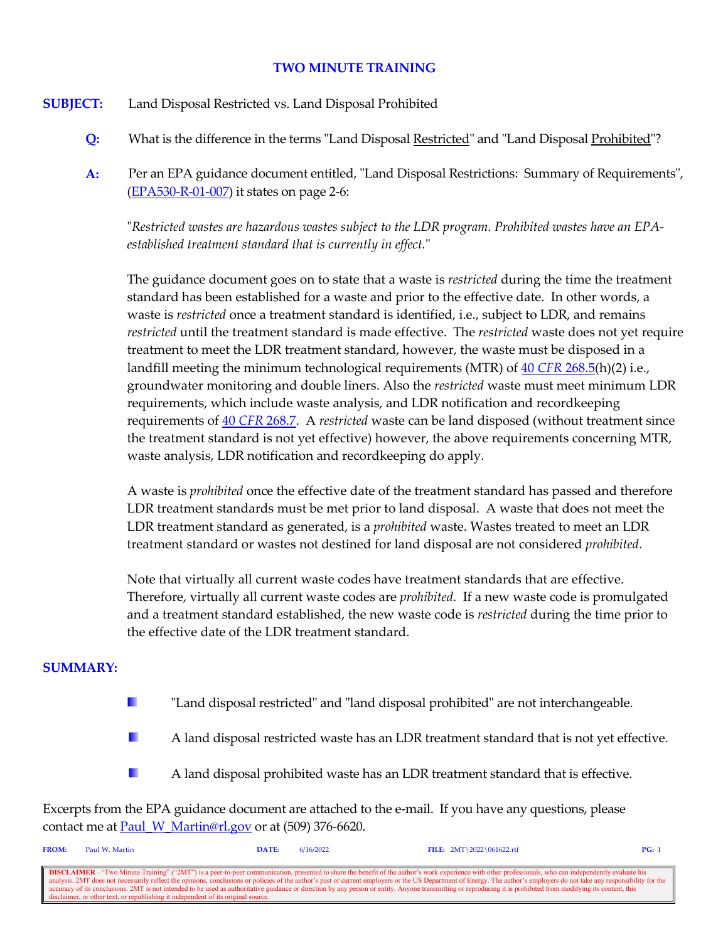# **TWO MINUTE TRAINING**

- **SUBJECT:** Land Disposal Restricted vs. Land Disposal Prohibited
	- **Q:** What is the difference in the terms "Land Disposal Restricted" and "Land Disposal Prohibited"?
	- **A:** Per an EPA guidance document entitled, "Land Disposal Restrictions: Summary of Requirements", [\(EPA530-R-01-007\)](https://www.epa.gov/sites/default/files/2016-01/documents/ldr-sum.pdf) it states on page 2-6:

"*Restricted wastes are hazardous wastes subject to the LDR program. Prohibited wastes have an EPAestablished treatment standard that is currently in effect.*"

The guidance document goes on to state that a waste is *restricted* during the time the treatment standard has been established for a waste and prior to the effective date. In other words, a waste is *restricted* once a treatment standard is identified, i.e., subject to LDR, and remains *restricted* until the treatment standard is made effective. The *restricted* waste does not yet require treatment to meet the LDR treatment standard, however, the waste must be disposed in a landfill meeting the minimum technological requirements (MTR) of 40 *CFR* [268.5\(](https://www.govinfo.gov/content/pkg/CFR-2021-title40-vol29/xml/CFR-2021-title40-vol29-sec268-5.xml)h)(2) i.e., groundwater monitoring and double liners. Also the *restricted* waste must meet minimum LDR requirements, which include waste analysis, and LDR notification and recordkeeping requirements of 40 *CFR* [268.7](https://www.govinfo.gov/content/pkg/CFR-2021-title40-vol29/xml/CFR-2021-title40-vol29-sec268-7.xml). A *restricted* waste can be land disposed (without treatment since the treatment standard is not yet effective) however, the above requirements concerning MTR, waste analysis, LDR notification and recordkeeping do apply.

A waste is *prohibited* once the effective date of the treatment standard has passed and therefore LDR treatment standards must be met prior to land disposal. A waste that does not meet the LDR treatment standard as generated, is a *prohibited* waste. Wastes treated to meet an LDR treatment standard or wastes not destined for land disposal are not considered *prohibited*.

Note that virtually all current waste codes have treatment standards that are effective. Therefore, virtually all current waste codes are *prohibited*. If a new waste code is promulgated and a treatment standard established, the new waste code is *restricted* during the time prior to the effective date of the LDR treatment standard.

### **SUMMARY:**

- H. "Land disposal restricted" and "land disposal prohibited" are not interchangeable.
- $\mathcal{L}_{\mathcal{A}}$ A land disposal restricted waste has an LDR treatment standard that is not yet effective.
- $\mathcal{L}_{\mathcal{A}}$ A land disposal prohibited waste has an LDR treatment standard that is effective.

Excerpts from the EPA guidance document are attached to the e-mail. If you have any questions, please contact me at [Paul\\_W\\_Martin@rl.gov](mailto:Paul_W_Martin@rl.gov?subject=Two%20Minute%20Training%20Question) or at (509) 376-6620.

| <b>FROM:</b>                                                                                                                                                                                                             | Paul W. Martin                                                                    | DATE: | 6/16/2022 | FILE: $2MT \ 2022 \ 061622.rtf$ | PG: |
|--------------------------------------------------------------------------------------------------------------------------------------------------------------------------------------------------------------------------|-----------------------------------------------------------------------------------|-------|-----------|---------------------------------|-----|
|                                                                                                                                                                                                                          |                                                                                   |       |           |                                 |     |
| <b>DISCLAIMER</b> - "Two Minute Training" ("2MT") is a peer-to-peer communication, presented to share the benefit of the author's work experience with other professionals, who can independently evaluate his           |                                                                                   |       |           |                                 |     |
| analysis. 2MT does not necessarily reflect the opinions, conclusions or policies of the author's past or current employers or the US Department of Energy. The author's employers do not take any responsibility for the |                                                                                   |       |           |                                 |     |
| ccuracy of its conclusions. 2MT is not intended to be used as authoritative guidance or direction by any person or entity. Anyone transmitting or reproducing it is prohibited from modifying its content, this          |                                                                                   |       |           |                                 |     |
|                                                                                                                                                                                                                          | disclaimer, or other text, or republishing it independent of its original source. |       |           |                                 |     |